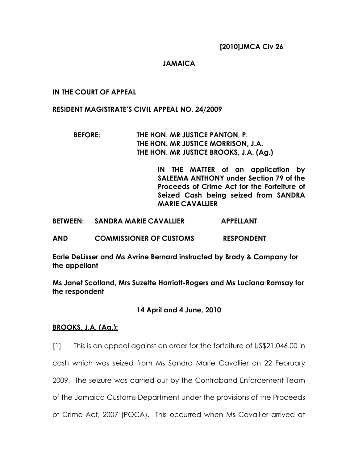## JAMAICA

## IN THE COURT OF APPEAL

## RESIDENT MAGISTRATE'S CIVIL APPEAL NO. 24/2009

## BEFORE: THE HON. MR JUSTICE PANTON, P. THE HON. MR JUSTICE MORRISON, J.A. THE HON. MR JUSTICE BROOKS, J.A. (Ag.)

IN THE MATTER of an application by SALEEMA ANTHONY under Section 79 of the Proceeds of Crime Act for the Forfeiture of Seized Cash being seized from SANDRA MARIE CAVALLIER

BETWEEN: SANDRA MARIE CAVALLIER APPELLANT

AND COMMISSIONER OF CUSTOMS RESPONDENT

Earle DeLisser and Ms Avrine Bernard instructed by Brady & Company for the appellant

Ms Janet Scotland, Mrs Suzette Harriott-Rogers and Ms Luciana Ramsay for the respondent

## 14 April and 4 June, 2010

## BROOKS, J.A. (Ag.):

[1] This is an appeal against an order for the forfeiture of US\$21,046.00 in

cash which was seized from Ms Sandra Marie Cavallier on 22 February

2009. The seizure was carried out by the Contraband Enforcement Team

of the Jamaica Customs Department under the provisions of the Proceeds

of Crime Act, 2007 (POCA). This occurred when Ms Cavallier arrived at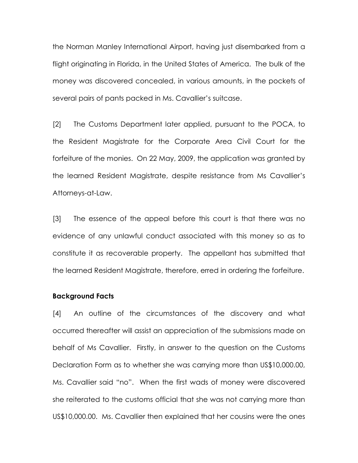the Norman Manley International Airport, having just disembarked from a flight originating in Florida, in the United States of America. The bulk of the money was discovered concealed, in various amounts, in the pockets of several pairs of pants packed in Ms. Cavallier's suitcase.

[2] The Customs Department later applied, pursuant to the POCA, to the Resident Magistrate for the Corporate Area Civil Court for the forfeiture of the monies. On 22 May, 2009, the application was granted by the learned Resident Magistrate, despite resistance from Ms Cavallier's Attorneys-at-Law.

[3] The essence of the appeal before this court is that there was no evidence of any unlawful conduct associated with this money so as to constitute it as recoverable property. The appellant has submitted that the learned Resident Magistrate, therefore, erred in ordering the forfeiture.

#### Background Facts

[4] An outline of the circumstances of the discovery and what occurred thereafter will assist an appreciation of the submissions made on behalf of Ms Cavallier. Firstly, in answer to the question on the Customs Declaration Form as to whether she was carrying more than US\$10,000.00, Ms. Cavallier said "no". When the first wads of money were discovered she reiterated to the customs official that she was not carrying more than US\$10,000.00. Ms. Cavallier then explained that her cousins were the ones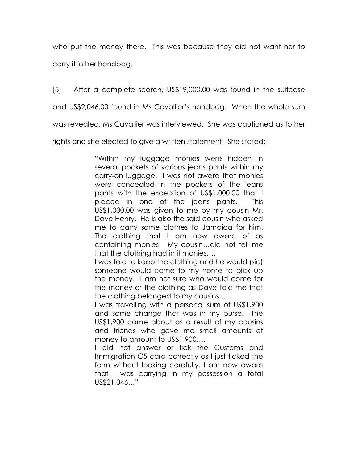who put the money there. This was because they did not want her to carry it in her handbag.

[5] After a complete search, US\$19,000.00 was found in the suitcase and US\$2,046.00 found in Ms Cavallier's handbag. When the whole sum was revealed, Ms Cavallier was interviewed. She was cautioned as to her rights and she elected to give a written statement. She stated:

> "Within my luggage monies were hidden in several pockets of various jeans pants within my carry-on luggage. I was not aware that monies were concealed in the pockets of the jeans pants with the exception of US\$1,000.00 that I placed in one of the jeans pants. This US\$1,000.00 was given to me by my cousin Mr. Dave Henry. He is also the said cousin who asked me to carry some clothes to Jamaica for him. The clothing that I am now aware of as containing monies. My cousin…did not tell me that the clothing had in it monies….

> I was told to keep the clothing and he would (sic) someone would come to my home to pick up the money. I am not sure who would come for the money or the clothing as Dave told me that the clothing belonged to my cousins….

> I was travelling with a personal sum of US\$1,900 and some change that was in my purse. The US\$1,900 came about as a result of my cousins and friends who gave me small amounts of money to amount to US\$1,900….

> I did not answer or tick the Customs and Immigration C5 card correctly as I just ticked the form without looking carefully. I am now aware that I was carrying in my possession a total US\$21,046…"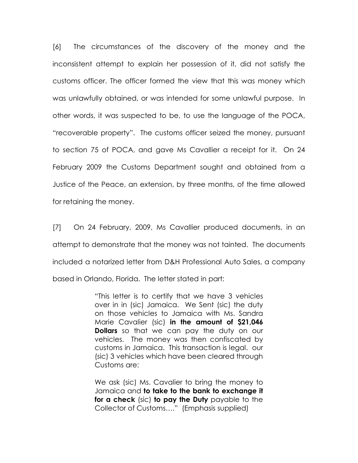[6] The circumstances of the discovery of the money and the inconsistent attempt to explain her possession of it, did not satisfy the customs officer. The officer formed the view that this was money which was unlawfully obtained, or was intended for some unlawful purpose. In other words, it was suspected to be, to use the language of the POCA, "recoverable property". The customs officer seized the money, pursuant to section 75 of POCA, and gave Ms Cavallier a receipt for it. On 24 February 2009 the Customs Department sought and obtained from a Justice of the Peace, an extension, by three months, of the time allowed for retaining the money.

[7] On 24 February, 2009, Ms Cavallier produced documents, in an attempt to demonstrate that the money was not tainted. The documents included a notarized letter from D&H Professional Auto Sales, a company based in Orlando, Florida. The letter stated in part:

> "This letter is to certify that we have 3 vehicles over in in (sic) Jamaica. We Sent (sic) the duty on those vehicles to Jamaica with Ms. Sandra Marie Cavalier (sic) in the amount of \$21,046 **Dollars** so that we can pay the duty on our vehicles. The money was then confiscated by customs in Jamaica. This transaction is legal. our (sic) 3 vehicles which have been cleared through Customs are:

> We ask (sic) Ms. Cavalier to bring the money to Jamaica and to take to the bank to exchange it for a check (sic) to pay the Duty payable to the Collector of Customs…." (Emphasis supplied)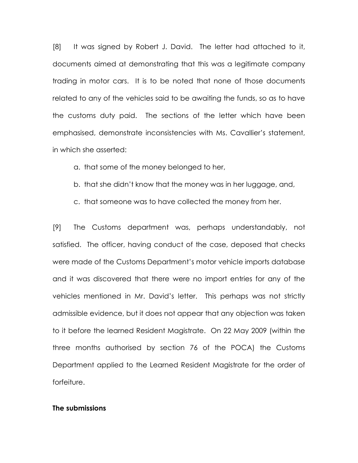[8] It was signed by Robert J. David. The letter had attached to it, documents aimed at demonstrating that this was a legitimate company trading in motor cars. It is to be noted that none of those documents related to any of the vehicles said to be awaiting the funds, so as to have the customs duty paid. The sections of the letter which have been emphasised, demonstrate inconsistencies with Ms. Cavallier's statement, in which she asserted:

a. that some of the money belonged to her,

b. that she didn't know that the money was in her luggage, and,

c. that someone was to have collected the money from her.

[9] The Customs department was, perhaps understandably, not satisfied. The officer, having conduct of the case, deposed that checks were made of the Customs Department's motor vehicle imports database and it was discovered that there were no import entries for any of the vehicles mentioned in Mr. David's letter. This perhaps was not strictly admissible evidence, but it does not appear that any objection was taken to it before the learned Resident Magistrate. On 22 May 2009 (within the three months authorised by section 76 of the POCA) the Customs Department applied to the Learned Resident Magistrate for the order of forfeiture.

#### The submissions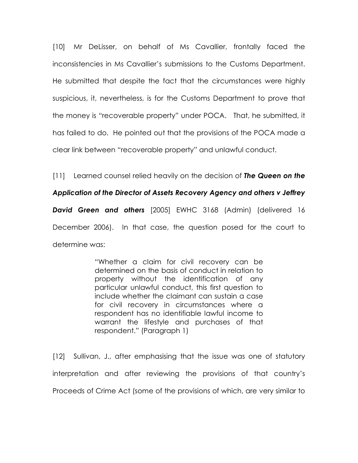[10] Mr DeLisser, on behalf of Ms Cavallier, frontally faced the inconsistencies in Ms Cavallier's submissions to the Customs Department. He submitted that despite the fact that the circumstances were highly suspicious, it, nevertheless, is for the Customs Department to prove that the money is "recoverable property" under POCA. That, he submitted, it has failed to do. He pointed out that the provisions of the POCA made a clear link between "recoverable property" and unlawful conduct.

[11] Learned counsel relied heavily on the decision of The Queen on the

### Application of the Director of Assets Recovery Agency and others v Jeffrey

David Green and others [2005] EWHC 3168 (Admin) (delivered 16 December 2006). In that case, the question posed for the court to determine was:

> "Whether a claim for civil recovery can be determined on the basis of conduct in relation to property without the identification of any particular unlawful conduct, this first question to include whether the claimant can sustain a case for civil recovery in circumstances where a respondent has no identifiable lawful income to warrant the lifestyle and purchases of that respondent." (Paragraph 1)

[12] Sullivan, J., after emphasising that the issue was one of statutory interpretation and after reviewing the provisions of that country's Proceeds of Crime Act (some of the provisions of which, are very similar to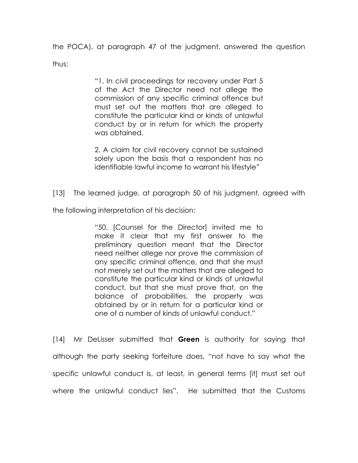the POCA), at paragraph 47 of the judgment, answered the question thus:

> "1. In civil proceedings for recovery under Part 5 of the Act the Director need not allege the commission of any specific criminal offence but must set out the matters that are alleged to constitute the particular kind or kinds of unlawful conduct by or in return for which the property was obtained.

> 2. A claim for civil recovery cannot be sustained solely upon the basis that a respondent has no identifiable lawful income to warrant his lifestyle"

[13] The learned judge, at paragraph 50 of his judgment, agreed with

the following interpretation of his decision:

"50. [Counsel for the Director] invited me to make it clear that my first answer to the preliminary question meant that the Director need neither allege nor prove the commission of any specific criminal offence, and that she must not merely set out the matters that are alleged to constitute the particular kind or kinds of unlawful conduct, but that she must prove that, on the balance of probabilities, the property was obtained by or in return for a particular kind or one of a number of kinds of unlawful conduct."

[14] Mr Delisser submitted that Green is authority for saying that although the party seeking forfeiture does, "not have to say what the specific unlawful conduct is, at least, in general terms [it] must set out where the unlawful conduct lies". He submitted that the Customs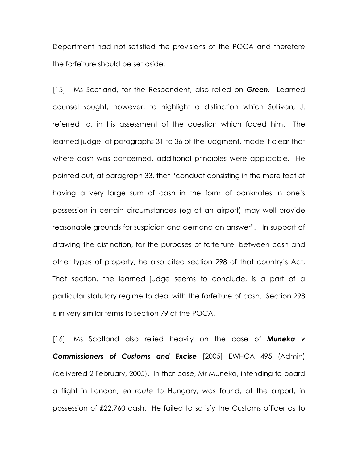Department had not satisfied the provisions of the POCA and therefore the forfeiture should be set aside.

[15] Ms Scotland, for the Respondent, also relied on **Green.** Learned counsel sought, however, to highlight a distinction which Sullivan, J. referred to, in his assessment of the question which faced him. The learned judge, at paragraphs 31 to 36 of the judgment, made it clear that where cash was concerned, additional principles were applicable. He pointed out, at paragraph 33, that "conduct consisting in the mere fact of having a very large sum of cash in the form of banknotes in one's possession in certain circumstances (eg at an airport) may well provide reasonable grounds for suspicion and demand an answer". In support of drawing the distinction, for the purposes of forfeiture, between cash and other types of property, he also cited section 298 of that country's Act, That section, the learned judge seems to conclude, is a part of a particular statutory regime to deal with the forfeiture of cash. Section 298 is in very similar terms to section 79 of the POCA.

[16] Ms Scotland also relied heavily on the case of **Muneka v** Commissioners of Customs and Excise [2005] EWHCA 495 (Admin) (delivered 2 February, 2005). In that case, Mr Muneka, intending to board a flight in London, en route to Hungary, was found, at the airport, in possession of £22,760 cash. He failed to satisfy the Customs officer as to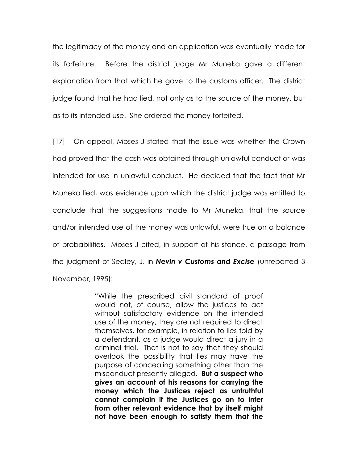the legitimacy of the money and an application was eventually made for its forfeiture. Before the district judge Mr Muneka gave a different explanation from that which he gave to the customs officer. The district judge found that he had lied, not only as to the source of the money, but as to its intended use. She ordered the money forfeited.

[17] On appeal, Moses J stated that the issue was whether the Crown had proved that the cash was obtained through unlawful conduct or was intended for use in unlawful conduct. He decided that the fact that Mr Muneka lied, was evidence upon which the district judge was entitled to conclude that the suggestions made to Mr Muneka, that the source and/or intended use of the money was unlawful, were true on a balance of probabilities. Moses J cited, in support of his stance, a passage from the judgment of Sedley, J. in **Nevin v Customs and Excise** (unreported 3 November, 1995):

> "While the prescribed civil standard of proof would not, of course, allow the justices to act without satisfactory evidence on the intended use of the money, they are not required to direct themselves, for example, in relation to lies told by a defendant, as a judge would direct a jury in a criminal trial. That is not to say that they should overlook the possibility that lies may have the purpose of concealing something other than the misconduct presently alleged. But a suspect who gives an account of his reasons for carrying the money which the Justices reject as untruthful cannot complain if the Justices go on to infer from other relevant evidence that by itself might not have been enough to satisfy them that the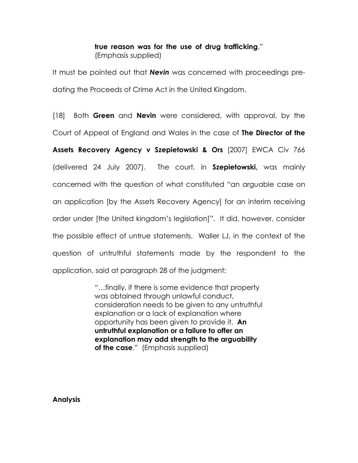## true reason was for the use of drug trafficking." (Emphasis supplied)

It must be pointed out that **Nevin** was concerned with proceedings predating the Proceeds of Crime Act in the United Kingdom.

[18] Both Green and Nevin were considered, with approval, by the Court of Appeal of England and Wales in the case of **The Director of the** 

Assets Recovery Agency v Szepietowski & Ors [2007] EWCA Civ 766 (delivered 24 July 2007). The court, in Szepietowski, was mainly concerned with the question of what constituted "an arguable case on an application [by the Assets Recovery Agency] for an interim receiving order under [the United kingdom's legislation]". It did, however, consider the possible effect of untrue statements. Waller LJ, in the context of the question of untruthful statements made by the respondent to the application, said at paragraph 28 of the judgment:

> "…finally, if there is some evidence that property was obtained through unlawful conduct, consideration needs to be given to any untruthful explanation or a lack of explanation where opportunity has been given to provide it. An untruthful explanation or a failure to offer an explanation may add strength to the arguability of the case." (Emphasis supplied)

Analysis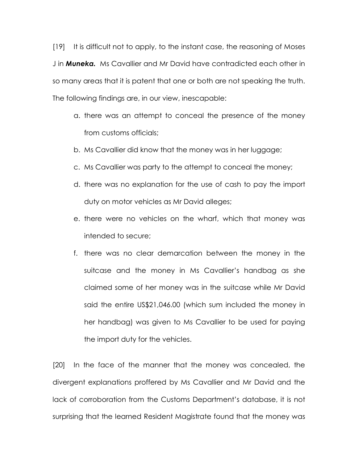[19] It is difficult not to apply, to the instant case, the reasoning of Moses J in **Muneka.** Ms Cavallier and Mr David have contradicted each other in so many areas that it is patent that one or both are not speaking the truth. The following findings are, in our view, inescapable:

- a. there was an attempt to conceal the presence of the money from customs officials;
- b. Ms Cavallier did know that the money was in her luggage;
- c. Ms Cavallier was party to the attempt to conceal the money;
- d. there was no explanation for the use of cash to pay the import duty on motor vehicles as Mr David alleges;
- e. there were no vehicles on the wharf, which that money was intended to secure;
- f. there was no clear demarcation between the money in the suitcase and the money in Ms Cavallier's handbag as she claimed some of her money was in the suitcase while Mr David said the entire US\$21,046.00 (which sum included the money in her handbag) was given to Ms Cavallier to be used for paying the import duty for the vehicles.

[20] In the face of the manner that the money was concealed, the divergent explanations proffered by Ms Cavallier and Mr David and the lack of corroboration from the Customs Department's database, it is not surprising that the learned Resident Magistrate found that the money was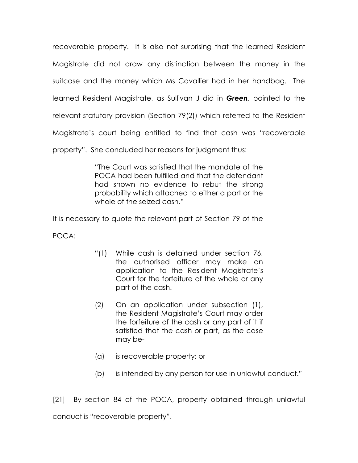recoverable property. It is also not surprising that the learned Resident Magistrate did not draw any distinction between the money in the suitcase and the money which Ms Cavallier had in her handbag. The learned Resident Magistrate, as Sullivan J did in Green, pointed to the relevant statutory provision (Section 79(2)) which referred to the Resident Magistrate's court being entitled to find that cash was "recoverable

property". She concluded her reasons for judgment thus:

"The Court was satisfied that the mandate of the POCA had been fulfilled and that the defendant had shown no evidence to rebut the strong probability which attached to either a part or the whole of the seized cash."

It is necessary to quote the relevant part of Section 79 of the

POCA:

- "(1) While cash is detained under section 76, the authorised officer may make an application to the Resident Magistrate's Court for the forfeiture of the whole or any part of the cash.
- (2) On an application under subsection (1), the Resident Magistrate's Court may order the forfeiture of the cash or any part of it if satisfied that the cash or part, as the case may be-
- (a) is recoverable property; or
- (b) is intended by any person for use in unlawful conduct."

[21] By section 84 of the POCA, property obtained through unlawful conduct is "recoverable property".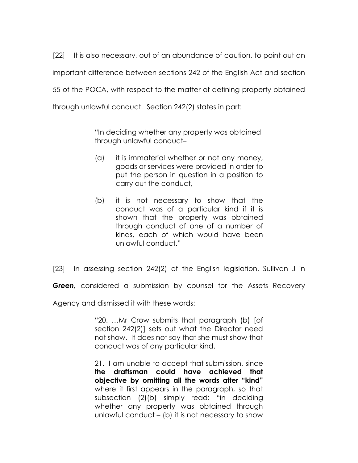[22] It is also necessary, out of an abundance of caution, to point out an important difference between sections 242 of the English Act and section 55 of the POCA, with respect to the matter of defining property obtained through unlawful conduct. Section 242(2) states in part:

> "In deciding whether any property was obtained through unlawful conduct–

- (a) it is immaterial whether or not any money, goods or services were provided in order to put the person in question in a position to carry out the conduct,
- (b) it is not necessary to show that the conduct was of a particular kind if it is shown that the property was obtained through conduct of one of a number of kinds, each of which would have been unlawful conduct."

[23] In assessing section 242(2) of the English legislation, Sullivan J in

**Green**, considered a submission by counsel for the Assets Recovery

Agency and dismissed it with these words:

"20. …Mr Crow submits that paragraph (b) [of section 242(2)] sets out what the Director need not show. It does not say that she must show that conduct was of any particular kind.

21. I am unable to accept that submission, since the draftsman could have achieved that objective by omitting all the words after "kind" where it first appears in the paragraph, so that subsection (2)(b) simply read: "in deciding whether any property was obtained through unlawful conduct – (b) it is not necessary to show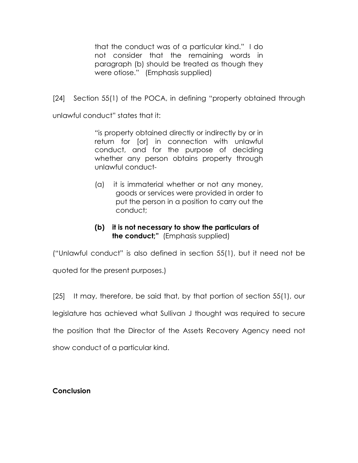that the conduct was of a particular kind." I do not consider that the remaining words in paragraph (b) should be treated as though they were otiose." (Emphasis supplied)

[24] Section 55(1) of the POCA, in defining "property obtained through

unlawful conduct" states that it:

"is property obtained directly or indirectly by or in return for [or] in connection with unlawful conduct, and for the purpose of deciding whether any person obtains property through unlawful conduct-

(a) it is immaterial whether or not any money, goods or services were provided in order to put the person in a position to carry out the conduct;

# (b) it is not necessary to show the particulars of the conduct;" (Emphasis supplied)

("Unlawful conduct" is also defined in section 55(1), but it need not be

quoted for the present purposes.)

[25] It may, therefore, be said that, by that portion of section 55(1), our

legislature has achieved what Sullivan J thought was required to secure

the position that the Director of the Assets Recovery Agency need not

show conduct of a particular kind.

# Conclusion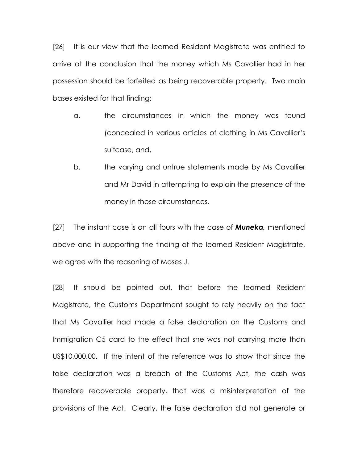[26] It is our view that the learned Resident Magistrate was entitled to arrive at the conclusion that the money which Ms Cavallier had in her possession should be forfeited as being recoverable property. Two main bases existed for that finding:

- a. the circumstances in which the money was found (concealed in various articles of clothing in Ms Cavallier's suitcase, and,
- b. the varying and untrue statements made by Ms Cavallier and Mr David in attempting to explain the presence of the money in those circumstances.

[27] The instant case is on all fours with the case of **Muneka**, mentioned above and in supporting the finding of the learned Resident Magistrate, we agree with the reasoning of Moses J.

[28] It should be pointed out, that before the learned Resident Magistrate, the Customs Department sought to rely heavily on the fact that Ms Cavallier had made a false declaration on the Customs and Immigration C5 card to the effect that she was not carrying more than US\$10,000.00. If the intent of the reference was to show that since the false declaration was a breach of the Customs Act, the cash was therefore recoverable property, that was a misinterpretation of the provisions of the Act. Clearly, the false declaration did not generate or